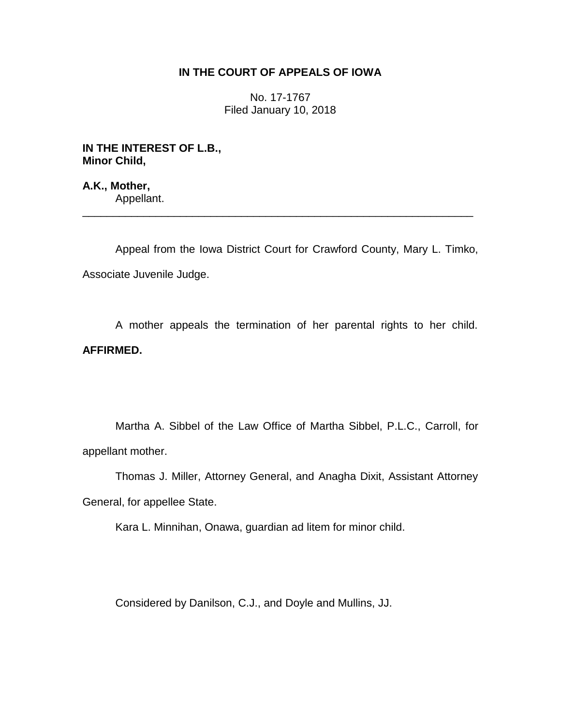## **IN THE COURT OF APPEALS OF IOWA**

No. 17-1767 Filed January 10, 2018

**IN THE INTEREST OF L.B., Minor Child,**

**A.K., Mother,** Appellant. \_\_\_\_\_\_\_\_\_\_\_\_\_\_\_\_\_\_\_\_\_\_\_\_\_\_\_\_\_\_\_\_\_\_\_\_\_\_\_\_\_\_\_\_\_\_\_\_\_\_\_\_\_\_\_\_\_\_\_\_\_\_\_\_

Appeal from the Iowa District Court for Crawford County, Mary L. Timko, Associate Juvenile Judge.

A mother appeals the termination of her parental rights to her child. **AFFIRMED.**

Martha A. Sibbel of the Law Office of Martha Sibbel, P.L.C., Carroll, for appellant mother.

Thomas J. Miller, Attorney General, and Anagha Dixit, Assistant Attorney General, for appellee State.

Kara L. Minnihan, Onawa, guardian ad litem for minor child.

Considered by Danilson, C.J., and Doyle and Mullins, JJ.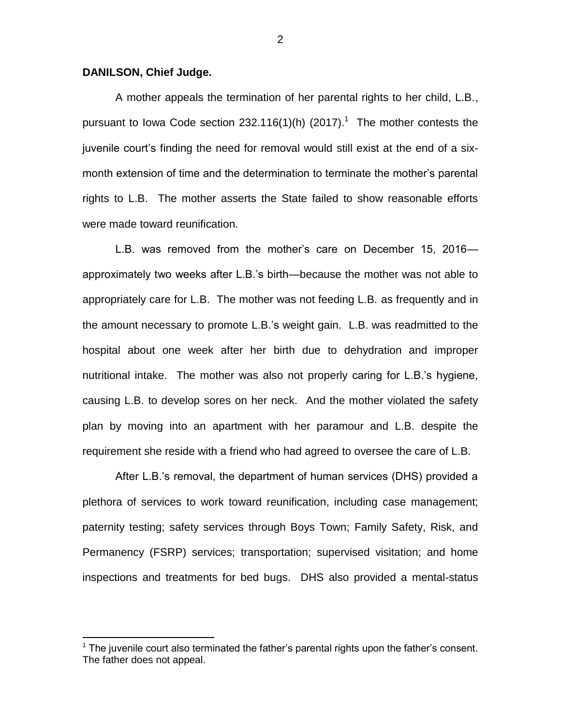## **DANILSON, Chief Judge.**

 $\overline{a}$ 

A mother appeals the termination of her parental rights to her child, L.B., pursuant to lowa Code section 232.116(1)(h) (2017).<sup>1</sup> The mother contests the juvenile court's finding the need for removal would still exist at the end of a sixmonth extension of time and the determination to terminate the mother's parental rights to L.B. The mother asserts the State failed to show reasonable efforts were made toward reunification.

L.B. was removed from the mother's care on December 15, 2016 approximately two weeks after L.B.'s birth—because the mother was not able to appropriately care for L.B. The mother was not feeding L.B. as frequently and in the amount necessary to promote L.B.'s weight gain. L.B. was readmitted to the hospital about one week after her birth due to dehydration and improper nutritional intake. The mother was also not properly caring for L.B.'s hygiene, causing L.B. to develop sores on her neck. And the mother violated the safety plan by moving into an apartment with her paramour and L.B. despite the requirement she reside with a friend who had agreed to oversee the care of L.B.

After L.B.'s removal, the department of human services (DHS) provided a plethora of services to work toward reunification, including case management; paternity testing; safety services through Boys Town; Family Safety, Risk, and Permanency (FSRP) services; transportation; supervised visitation; and home inspections and treatments for bed bugs. DHS also provided a mental-status

 $<sup>1</sup>$  The juvenile court also terminated the father's parental rights upon the father's consent.</sup> The father does not appeal.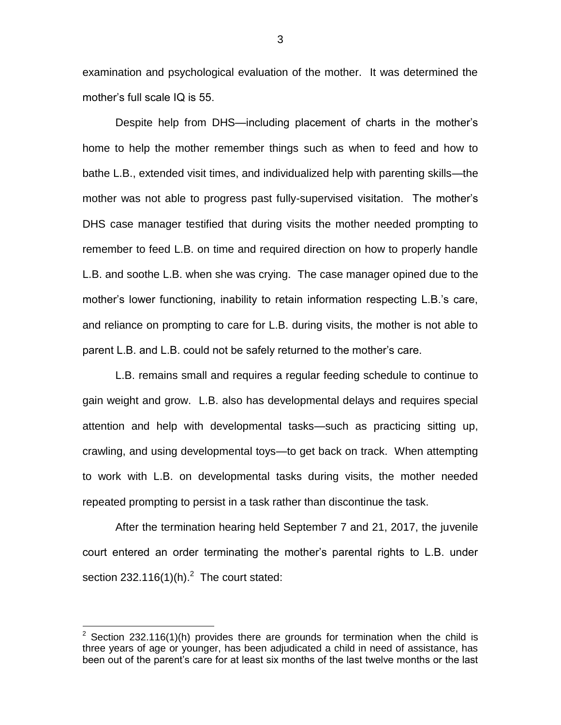examination and psychological evaluation of the mother. It was determined the mother's full scale IQ is 55.

Despite help from DHS—including placement of charts in the mother's home to help the mother remember things such as when to feed and how to bathe L.B., extended visit times, and individualized help with parenting skills—the mother was not able to progress past fully-supervised visitation. The mother's DHS case manager testified that during visits the mother needed prompting to remember to feed L.B. on time and required direction on how to properly handle L.B. and soothe L.B. when she was crying. The case manager opined due to the mother's lower functioning, inability to retain information respecting L.B.'s care, and reliance on prompting to care for L.B. during visits, the mother is not able to parent L.B. and L.B. could not be safely returned to the mother's care.

L.B. remains small and requires a regular feeding schedule to continue to gain weight and grow. L.B. also has developmental delays and requires special attention and help with developmental tasks—such as practicing sitting up, crawling, and using developmental toys—to get back on track. When attempting to work with L.B. on developmental tasks during visits, the mother needed repeated prompting to persist in a task rather than discontinue the task.

After the termination hearing held September 7 and 21, 2017, the juvenile court entered an order terminating the mother's parental rights to L.B. under section 232.116(1)(h). $^2$  The court stated:

 $\overline{a}$ 

<sup>&</sup>lt;sup>2</sup> Section 232.116(1)(h) provides there are grounds for termination when the child is three years of age or younger, has been adjudicated a child in need of assistance, has been out of the parent's care for at least six months of the last twelve months or the last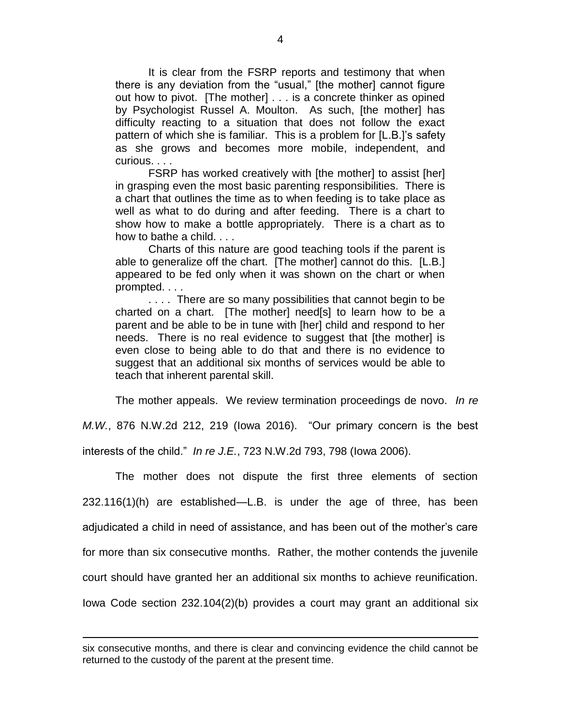It is clear from the FSRP reports and testimony that when there is any deviation from the "usual," [the mother] cannot figure out how to pivot. [The mother] . . . is a concrete thinker as opined by Psychologist Russel A. Moulton. As such, [the mother] has difficulty reacting to a situation that does not follow the exact pattern of which she is familiar. This is a problem for [L.B.]'s safety as she grows and becomes more mobile, independent, and curious. . . .

FSRP has worked creatively with [the mother] to assist [her] in grasping even the most basic parenting responsibilities. There is a chart that outlines the time as to when feeding is to take place as well as what to do during and after feeding. There is a chart to show how to make a bottle appropriately. There is a chart as to how to bathe a child. . . .

Charts of this nature are good teaching tools if the parent is able to generalize off the chart. [The mother] cannot do this. [L.B.] appeared to be fed only when it was shown on the chart or when prompted. . . .

.... There are so many possibilities that cannot begin to be charted on a chart. [The mother] need[s] to learn how to be a parent and be able to be in tune with [her] child and respond to her needs. There is no real evidence to suggest that [the mother] is even close to being able to do that and there is no evidence to suggest that an additional six months of services would be able to teach that inherent parental skill.

The mother appeals. We review termination proceedings de novo. *In re* 

*M.W.*, 876 N.W.2d 212, 219 (Iowa 2016). "Our primary concern is the best interests of the child." *In re J.E.*, 723 N.W.2d 793, 798 (Iowa 2006).

The mother does not dispute the first three elements of section 232.116(1)(h) are established—L.B. is under the age of three, has been adjudicated a child in need of assistance, and has been out of the mother's care for more than six consecutive months. Rather, the mother contends the juvenile court should have granted her an additional six months to achieve reunification. Iowa Code section 232.104(2)(b) provides a court may grant an additional six

 $\overline{a}$ 

six consecutive months, and there is clear and convincing evidence the child cannot be returned to the custody of the parent at the present time.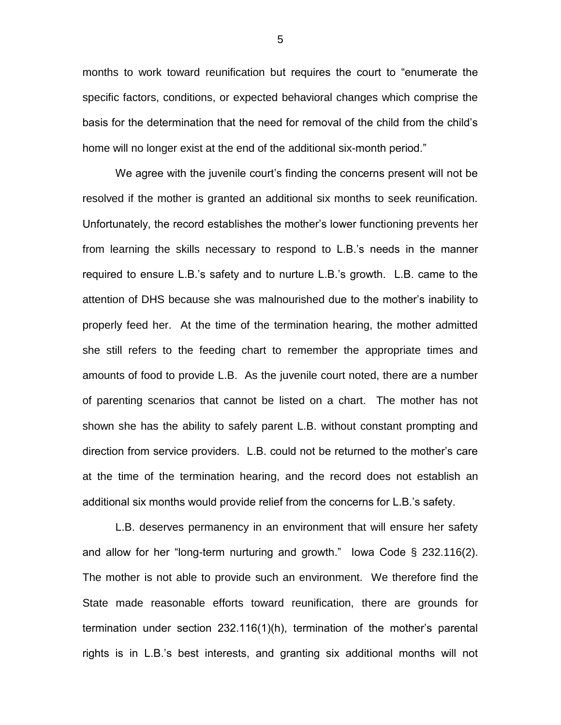months to work toward reunification but requires the court to "enumerate the specific factors, conditions, or expected behavioral changes which comprise the basis for the determination that the need for removal of the child from the child's home will no longer exist at the end of the additional six-month period."

We agree with the juvenile court's finding the concerns present will not be resolved if the mother is granted an additional six months to seek reunification. Unfortunately, the record establishes the mother's lower functioning prevents her from learning the skills necessary to respond to L.B.'s needs in the manner required to ensure L.B.'s safety and to nurture L.B.'s growth. L.B. came to the attention of DHS because she was malnourished due to the mother's inability to properly feed her. At the time of the termination hearing, the mother admitted she still refers to the feeding chart to remember the appropriate times and amounts of food to provide L.B. As the juvenile court noted, there are a number of parenting scenarios that cannot be listed on a chart. The mother has not shown she has the ability to safely parent L.B. without constant prompting and direction from service providers. L.B. could not be returned to the mother's care at the time of the termination hearing, and the record does not establish an additional six months would provide relief from the concerns for L.B.'s safety.

L.B. deserves permanency in an environment that will ensure her safety and allow for her "long-term nurturing and growth." Iowa Code  $\S$  232.116(2). The mother is not able to provide such an environment. We therefore find the State made reasonable efforts toward reunification, there are grounds for termination under section 232.116(1)(h), termination of the mother's parental rights is in L.B.'s best interests, and granting six additional months will not

5